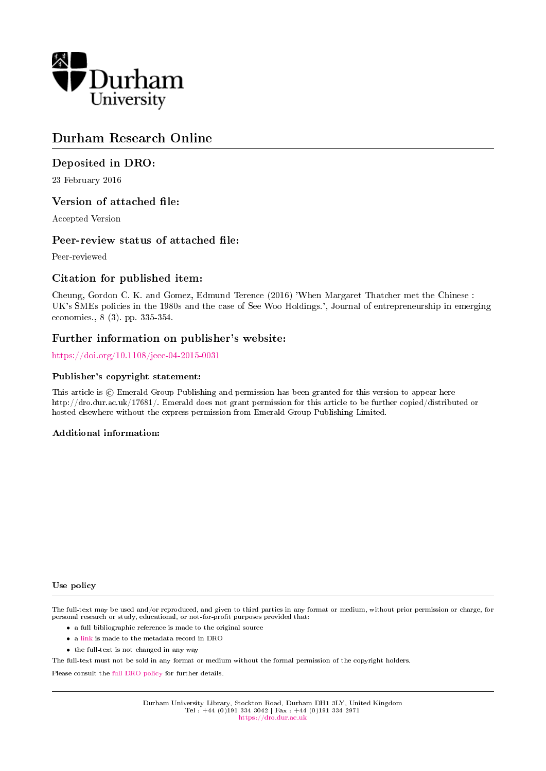

# Durham Research Online

# Deposited in DRO:

23 February 2016

## Version of attached file:

Accepted Version

## Peer-review status of attached file:

Peer-reviewed

## Citation for published item:

Cheung, Gordon C. K. and Gomez, Edmund Terence (2016) 'When Margaret Thatcher met the Chinese : UK's SMEs policies in the 1980s and the case of See Woo Holdings.', Journal of entrepreneurship in emerging economies., 8 (3). pp. 335-354.

## Further information on publisher's website:

<https://doi.org/10.1108/jeee-04-2015-0031>

#### Publisher's copyright statement:

This article is  $\odot$  Emerald Group Publishing and permission has been granted for this version to appear here http://dro.dur.ac.uk/17681/. Emerald does not grant permission for this article to be further copied/distributed or hosted elsewhere without the express permission from Emerald Group Publishing Limited.

#### Additional information:

#### Use policy

The full-text may be used and/or reproduced, and given to third parties in any format or medium, without prior permission or charge, for personal research or study, educational, or not-for-profit purposes provided that:

- a full bibliographic reference is made to the original source
- a [link](http://dro.dur.ac.uk/17681/) is made to the metadata record in DRO
- the full-text is not changed in any way

The full-text must not be sold in any format or medium without the formal permission of the copyright holders.

Please consult the [full DRO policy](https://dro.dur.ac.uk/policies/usepolicy.pdf) for further details.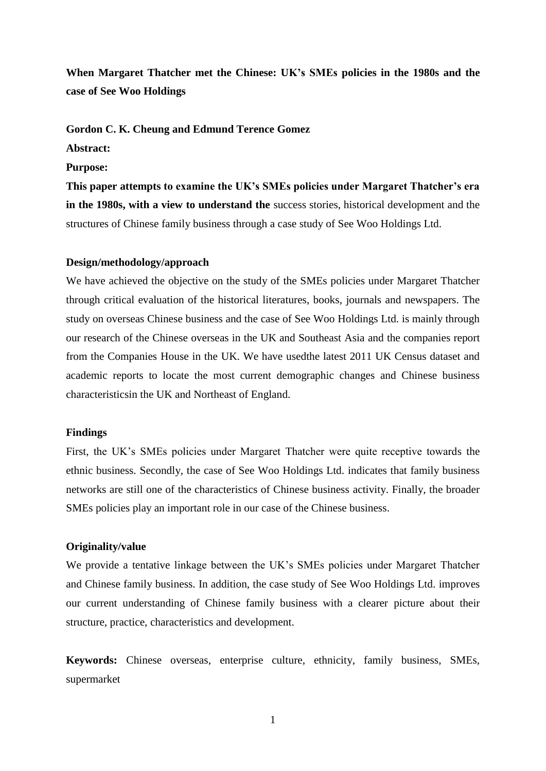# **When Margaret Thatcher met the Chinese: UK's SMEs policies in the 1980s and the case of See Woo Holdings**

#### **Gordon C. K. Cheung and Edmund Terence Gomez**

**Abstract:**

### **Purpose:**

**This paper attempts to examine the UK's SMEs policies under Margaret Thatcher's era in the 1980s, with a view to understand the** success stories, historical development and the structures of Chinese family business through a case study of See Woo Holdings Ltd.

#### **Design/methodology/approach**

We have achieved the objective on the study of the SMEs policies under Margaret Thatcher through critical evaluation of the historical literatures, books, journals and newspapers. The study on overseas Chinese business and the case of See Woo Holdings Ltd. is mainly through our research of the Chinese overseas in the UK and Southeast Asia and the companies report from the Companies House in the UK. We have usedthe latest 2011 UK Census dataset and academic reports to locate the most current demographic changes and Chinese business characteristicsin the UK and Northeast of England.

### **Findings**

First, the UK's SMEs policies under Margaret Thatcher were quite receptive towards the ethnic business. Secondly, the case of See Woo Holdings Ltd. indicates that family business networks are still one of the characteristics of Chinese business activity. Finally, the broader SMEs policies play an important role in our case of the Chinese business.

## **Originality/value**

We provide a tentative linkage between the UK's SMEs policies under Margaret Thatcher and Chinese family business. In addition, the case study of See Woo Holdings Ltd. improves our current understanding of Chinese family business with a clearer picture about their structure, practice, characteristics and development.

**Keywords:** Chinese overseas, enterprise culture, ethnicity, family business, SMEs, supermarket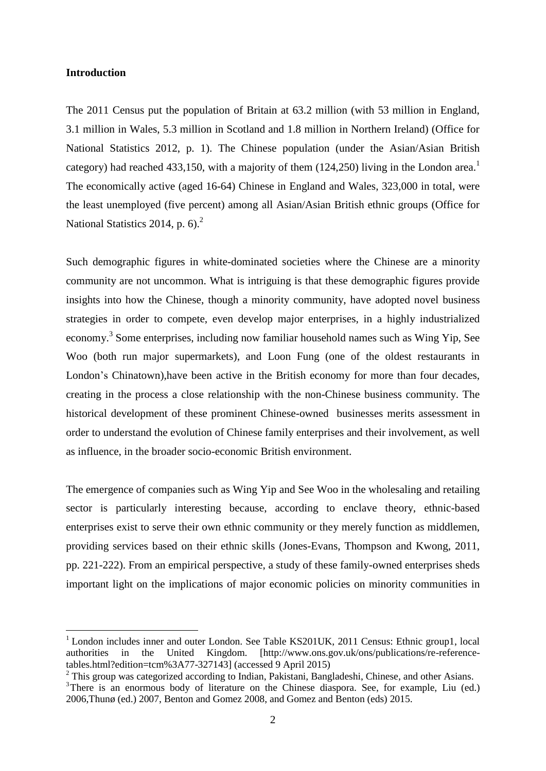## **Introduction**

1

The 2011 Census put the population of Britain at 63.2 million (with 53 million in England, 3.1 million in Wales, 5.3 million in Scotland and 1.8 million in Northern Ireland) (Office for National Statistics 2012, p. 1). The Chinese population (under the Asian/Asian British category) had reached 433,150, with a majority of them  $(124,250)$  living in the London area.<sup>1</sup> The economically active (aged 16-64) Chinese in England and Wales, 323,000 in total, were the least unemployed (five percent) among all Asian/Asian British ethnic groups (Office for National Statistics 2014, p.  $6$ .<sup>2</sup>

Such demographic figures in white-dominated societies where the Chinese are a minority community are not uncommon. What is intriguing is that these demographic figures provide insights into how the Chinese, though a minority community, have adopted novel business strategies in order to compete, even develop major enterprises, in a highly industrialized economy.<sup>3</sup> Some enterprises, including now familiar household names such as Wing Yip, See Woo (both run major supermarkets), and Loon Fung (one of the oldest restaurants in London's Chinatown),have been active in the British economy for more than four decades, creating in the process a close relationship with the non-Chinese business community. The historical development of these prominent Chinese-owned businesses merits assessment in order to understand the evolution of Chinese family enterprises and their involvement, as well as influence, in the broader socio-economic British environment.

The emergence of companies such as Wing Yip and See Woo in the wholesaling and retailing sector is particularly interesting because, according to enclave theory, ethnic-based enterprises exist to serve their own ethnic community or they merely function as middlemen, providing services based on their ethnic skills (Jones-Evans, Thompson and Kwong, 2011, pp. 221-222). From an empirical perspective, a study of these family-owned enterprises sheds important light on the implications of major economic policies on minority communities in

<sup>&</sup>lt;sup>1</sup> London includes inner and outer London. See Table KS201UK, 2011 Census: Ethnic group1, local authorities in the United Kingdom. [http://www.ons.gov.uk/ons/publications/re-referencetables.html?edition=tcm%3A77-327143] (accessed 9 April 2015)

 $2$  This group was categorized according to Indian, Pakistani, Bangladeshi, Chinese, and other Asians.

<sup>&</sup>lt;sup>3</sup>There is an enormous body of literature on the Chinese diaspora. See, for example, Liu (ed.) 2006,Thunø (ed.) 2007, Benton and Gomez 2008, and Gomez and Benton (eds) 2015.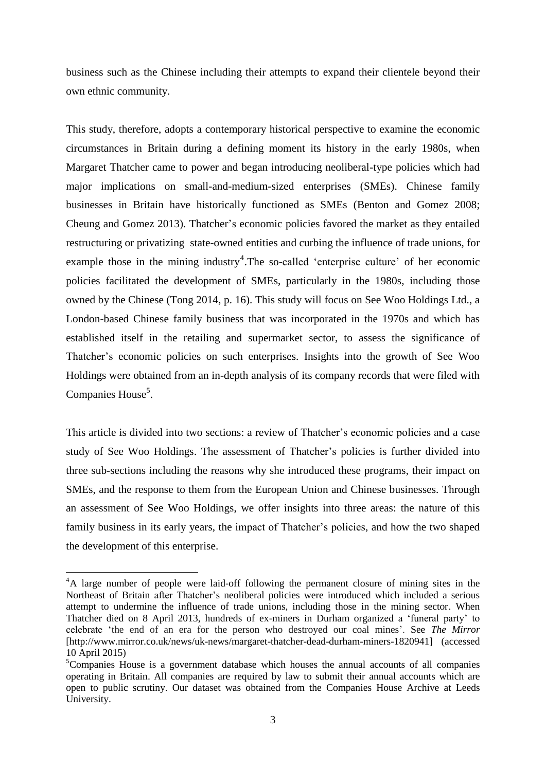business such as the Chinese including their attempts to expand their clientele beyond their own ethnic community.

This study, therefore, adopts a contemporary historical perspective to examine the economic circumstances in Britain during a defining moment its history in the early 1980s, when Margaret Thatcher came to power and began introducing neoliberal-type policies which had major implications on small-and-medium-sized enterprises (SMEs). Chinese family businesses in Britain have historically functioned as SMEs (Benton and Gomez 2008; Cheung and Gomez 2013). Thatcher's economic policies favored the market as they entailed restructuring or privatizing state-owned entities and curbing the influence of trade unions, for example those in the mining industry<sup>4</sup>. The so-called 'enterprise culture' of her economic policies facilitated the development of SMEs, particularly in the 1980s, including those owned by the Chinese (Tong 2014, p. 16). This study will focus on See Woo Holdings Ltd., a London-based Chinese family business that was incorporated in the 1970s and which has established itself in the retailing and supermarket sector, to assess the significance of Thatcher's economic policies on such enterprises. Insights into the growth of See Woo Holdings were obtained from an in-depth analysis of its company records that were filed with Companies House<sup>5</sup>.

This article is divided into two sections: a review of Thatcher's economic policies and a case study of See Woo Holdings. The assessment of Thatcher's policies is further divided into three sub-sections including the reasons why she introduced these programs, their impact on SMEs, and the response to them from the European Union and Chinese businesses. Through an assessment of See Woo Holdings, we offer insights into three areas: the nature of this family business in its early years, the impact of Thatcher's policies, and how the two shaped the development of this enterprise.

<u>.</u>

<sup>&</sup>lt;sup>4</sup>A large number of people were laid-off following the permanent closure of mining sites in the Northeast of Britain after Thatcher's neoliberal policies were introduced which included a serious attempt to undermine the influence of trade unions, including those in the mining sector. When Thatcher died on 8 April 2013, hundreds of ex-miners in Durham organized a 'funeral party' to celebrate 'the end of an era for [the person who destroyed our coal mines'](http://www.mirror.co.uk/all-about/margaret%20thatcher). See *The Mirror*  [http://www.mirror.co.uk/news/uk-news/margaret-thatcher-dead-durham-miners-1820941] (accessed 10 April 2015)

<sup>&</sup>lt;sup>5</sup>Companies House is a government database which houses the annual accounts of all companies operating in Britain. All companies are required by law to submit their annual accounts which are open to public scrutiny. Our dataset was obtained from the Companies House Archive at Leeds University.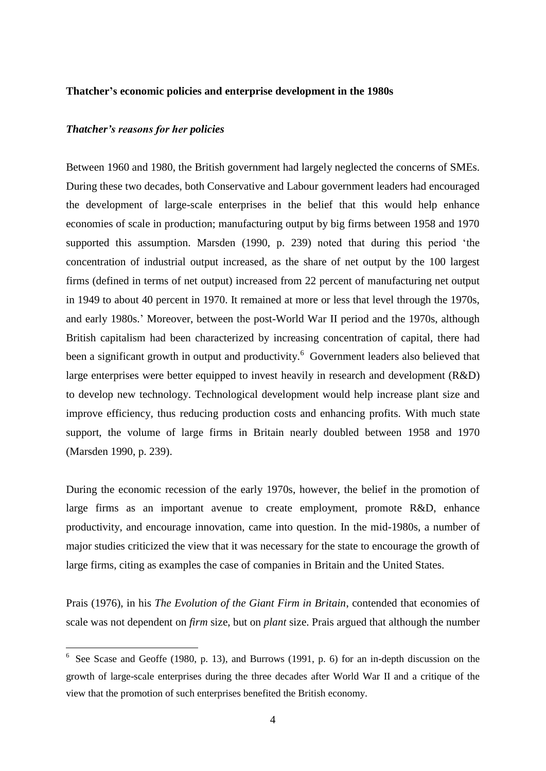#### **Thatcher's economic policies and enterprise development in the 1980s**

## *Thatcher's reasons for her policies*

Between 1960 and 1980, the British government had largely neglected the concerns of SMEs. During these two decades, both Conservative and Labour government leaders had encouraged the development of large-scale enterprises in the belief that this would help enhance economies of scale in production; manufacturing output by big firms between 1958 and 1970 supported this assumption. Marsden (1990, p. 239) noted that during this period 'the concentration of industrial output increased, as the share of net output by the 100 largest firms (defined in terms of net output) increased from 22 percent of manufacturing net output in 1949 to about 40 percent in 1970. It remained at more or less that level through the 1970s, and early 1980s.' Moreover, between the post-World War II period and the 1970s, although British capitalism had been characterized by increasing concentration of capital, there had been a significant growth in output and productivity.<sup>6</sup> Government leaders also believed that large enterprises were better equipped to invest heavily in research and development (R&D) to develop new technology. Technological development would help increase plant size and improve efficiency, thus reducing production costs and enhancing profits. With much state support, the volume of large firms in Britain nearly doubled between 1958 and 1970 (Marsden 1990, p. 239).

During the economic recession of the early 1970s, however, the belief in the promotion of large firms as an important avenue to create employment, promote R&D, enhance productivity, and encourage innovation, came into question. In the mid-1980s, a number of major studies criticized the view that it was necessary for the state to encourage the growth of large firms, citing as examples the case of companies in Britain and the United States.

Prais (1976), in his *The Evolution of the Giant Firm in Britain*, contended that economies of scale was not dependent on *firm* size, but on *plant* size. Prais argued that although the number

<sup>&</sup>lt;sup>6</sup> See Scase and Geoffe (1980, p. 13), and Burrows (1991, p. 6) for an in-depth discussion on the growth of large-scale enterprises during the three decades after World War II and a critique of the view that the promotion of such enterprises benefited the British economy.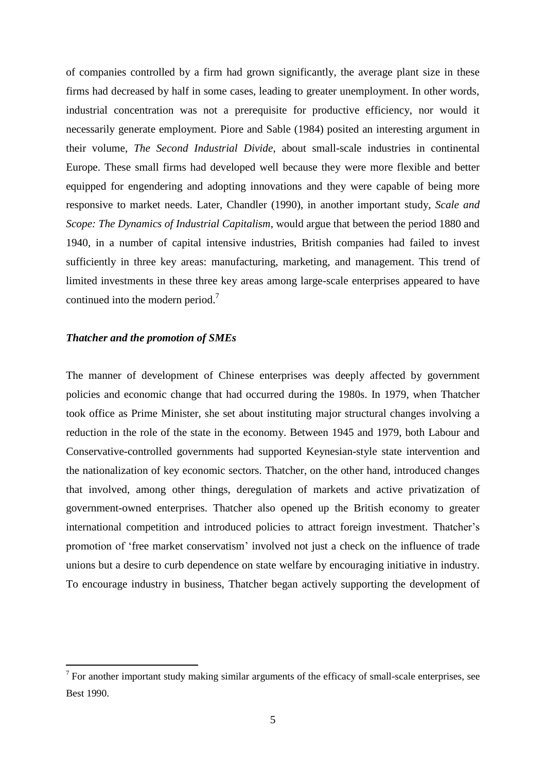of companies controlled by a firm had grown significantly, the average plant size in these firms had decreased by half in some cases, leading to greater unemployment. In other words, industrial concentration was not a prerequisite for productive efficiency, nor would it necessarily generate employment. Piore and Sable (1984) posited an interesting argument in their volume, *The Second Industrial Divide*, about small-scale industries in continental Europe. These small firms had developed well because they were more flexible and better equipped for engendering and adopting innovations and they were capable of being more responsive to market needs. Later, Chandler (1990), in another important study, *Scale and Scope: The Dynamics of Industrial Capitalism*, would argue that between the period 1880 and 1940, in a number of capital intensive industries, British companies had failed to invest sufficiently in three key areas: manufacturing, marketing, and management. This trend of limited investments in these three key areas among large-scale enterprises appeared to have continued into the modern period.<sup>7</sup>

## *Thatcher and the promotion of SMEs*

1

The manner of development of Chinese enterprises was deeply affected by government policies and economic change that had occurred during the 1980s. In 1979, when Thatcher took office as Prime Minister, she set about instituting major structural changes involving a reduction in the role of the state in the economy. Between 1945 and 1979, both Labour and Conservative-controlled governments had supported Keynesian-style state intervention and the nationalization of key economic sectors. Thatcher, on the other hand, introduced changes that involved, among other things, deregulation of markets and active privatization of government-owned enterprises. Thatcher also opened up the British economy to greater international competition and introduced policies to attract foreign investment. Thatcher's promotion of 'free market conservatism' involved not just a check on the influence of trade unions but a desire to curb dependence on state welfare by encouraging initiative in industry. To encourage industry in business, Thatcher began actively supporting the development of

 $<sup>7</sup>$  For another important study making similar arguments of the efficacy of small-scale enterprises, see</sup> Best 1990.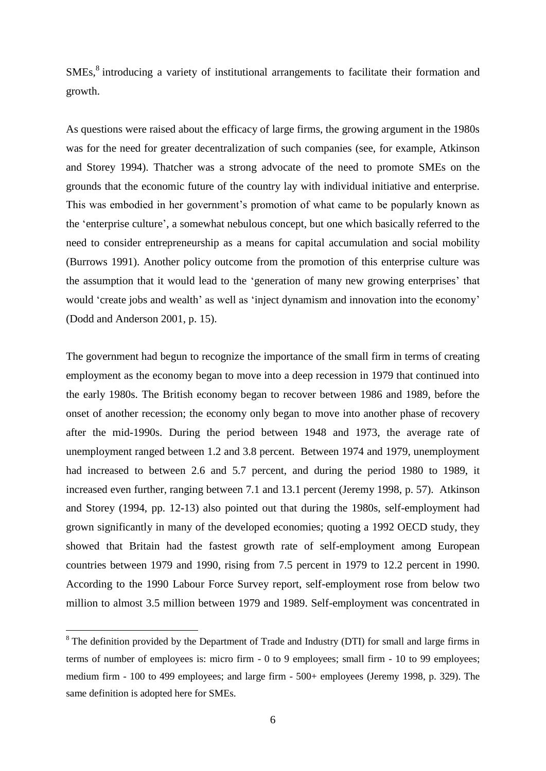SMEs,<sup>8</sup> introducing a variety of institutional arrangements to facilitate their formation and growth.

As questions were raised about the efficacy of large firms, the growing argument in the 1980s was for the need for greater decentralization of such companies (see, for example, Atkinson and Storey 1994). Thatcher was a strong advocate of the need to promote SMEs on the grounds that the economic future of the country lay with individual initiative and enterprise. This was embodied in her government's promotion of what came to be popularly known as the 'enterprise culture', a somewhat nebulous concept, but one which basically referred to the need to consider entrepreneurship as a means for capital accumulation and social mobility (Burrows 1991). Another policy outcome from the promotion of this enterprise culture was the assumption that it would lead to the 'generation of many new growing enterprises' that would 'create jobs and wealth' as well as 'inject dynamism and innovation into the economy' (Dodd and Anderson 2001, p. 15).

The government had begun to recognize the importance of the small firm in terms of creating employment as the economy began to move into a deep recession in 1979 that continued into the early 1980s. The British economy began to recover between 1986 and 1989, before the onset of another recession; the economy only began to move into another phase of recovery after the mid-1990s. During the period between 1948 and 1973, the average rate of unemployment ranged between 1.2 and 3.8 percent. Between 1974 and 1979, unemployment had increased to between 2.6 and 5.7 percent, and during the period 1980 to 1989, it increased even further, ranging between 7.1 and 13.1 percent (Jeremy 1998, p. 57). Atkinson and Storey (1994, pp. 12-13) also pointed out that during the 1980s, self-employment had grown significantly in many of the developed economies; quoting a 1992 OECD study, they showed that Britain had the fastest growth rate of self-employment among European countries between 1979 and 1990, rising from 7.5 percent in 1979 to 12.2 percent in 1990. According to the 1990 Labour Force Survey report, self-employment rose from below two million to almost 3.5 million between 1979 and 1989. Self-employment was concentrated in

<sup>&</sup>lt;sup>8</sup> The definition provided by the Department of Trade and Industry (DTI) for small and large firms in terms of number of employees is: micro firm - 0 to 9 employees; small firm - 10 to 99 employees; medium firm - 100 to 499 employees; and large firm - 500+ employees (Jeremy 1998, p. 329). The same definition is adopted here for SMEs.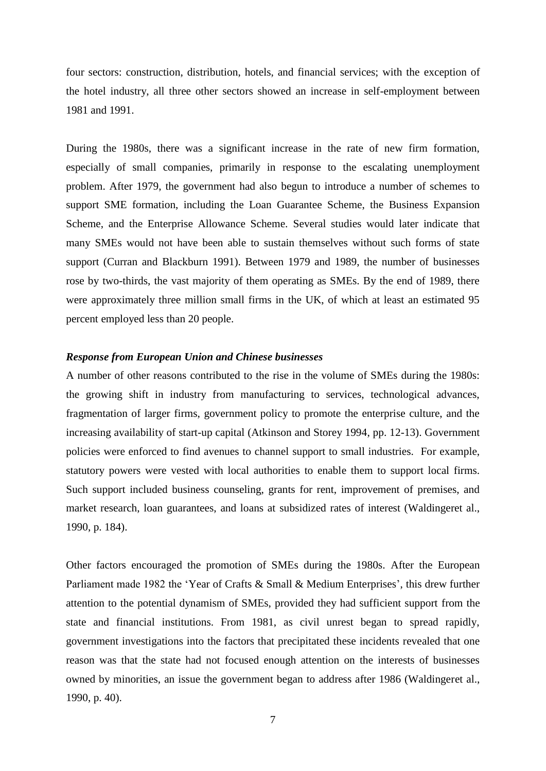four sectors: construction, distribution, hotels, and financial services; with the exception of the hotel industry, all three other sectors showed an increase in self-employment between 1981 and 1991.

During the 1980s, there was a significant increase in the rate of new firm formation, especially of small companies, primarily in response to the escalating unemployment problem. After 1979, the government had also begun to introduce a number of schemes to support SME formation, including the Loan Guarantee Scheme, the Business Expansion Scheme, and the Enterprise Allowance Scheme. Several studies would later indicate that many SMEs would not have been able to sustain themselves without such forms of state support (Curran and Blackburn 1991). Between 1979 and 1989, the number of businesses rose by two-thirds, the vast majority of them operating as SMEs. By the end of 1989, there were approximately three million small firms in the UK, of which at least an estimated 95 percent employed less than 20 people.

#### *Response from European Union and Chinese businesses*

A number of other reasons contributed to the rise in the volume of SMEs during the 1980s: the growing shift in industry from manufacturing to services, technological advances, fragmentation of larger firms, government policy to promote the enterprise culture, and the increasing availability of start-up capital (Atkinson and Storey 1994, pp. 12-13). Government policies were enforced to find avenues to channel support to small industries. For example, statutory powers were vested with local authorities to enable them to support local firms. Such support included business counseling, grants for rent, improvement of premises, and market research, loan guarantees, and loans at subsidized rates of interest (Waldingeret al., 1990, p. 184).

Other factors encouraged the promotion of SMEs during the 1980s. After the European Parliament made 1982 the 'Year of Crafts & Small & Medium Enterprises', this drew further attention to the potential dynamism of SMEs, provided they had sufficient support from the state and financial institutions. From 1981, as civil unrest began to spread rapidly, government investigations into the factors that precipitated these incidents revealed that one reason was that the state had not focused enough attention on the interests of businesses owned by minorities, an issue the government began to address after 1986 (Waldingeret al., 1990, p. 40).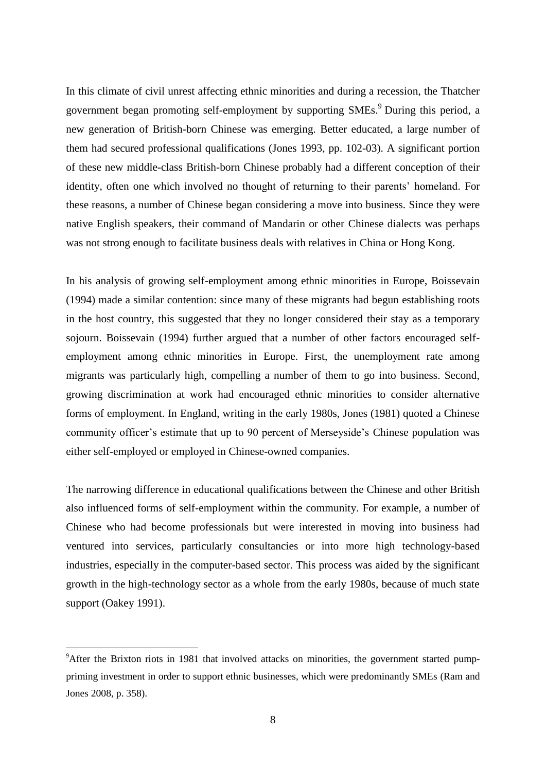In this climate of civil unrest affecting ethnic minorities and during a recession, the Thatcher government began promoting self-employment by supporting SMEs. <sup>9</sup> During this period, a new generation of British-born Chinese was emerging. Better educated, a large number of them had secured professional qualifications (Jones 1993, pp. 102-03). A significant portion of these new middle-class British-born Chinese probably had a different conception of their identity, often one which involved no thought of returning to their parents' homeland. For these reasons, a number of Chinese began considering a move into business. Since they were native English speakers, their command of Mandarin or other Chinese dialects was perhaps was not strong enough to facilitate business deals with relatives in China or Hong Kong.

In his analysis of growing self-employment among ethnic minorities in Europe, Boissevain (1994) made a similar contention: since many of these migrants had begun establishing roots in the host country, this suggested that they no longer considered their stay as a temporary sojourn. Boissevain (1994) further argued that a number of other factors encouraged selfemployment among ethnic minorities in Europe. First, the unemployment rate among migrants was particularly high, compelling a number of them to go into business. Second, growing discrimination at work had encouraged ethnic minorities to consider alternative forms of employment. In England, writing in the early 1980s, Jones (1981) quoted a Chinese community officer's estimate that up to 90 percent of Merseyside's Chinese population was either self-employed or employed in Chinese-owned companies.

The narrowing difference in educational qualifications between the Chinese and other British also influenced forms of self-employment within the community. For example, a number of Chinese who had become professionals but were interested in moving into business had ventured into services, particularly consultancies or into more high technology-based industries, especially in the computer-based sector. This process was aided by the significant growth in the high-technology sector as a whole from the early 1980s, because of much state support (Oakey 1991).

<sup>&</sup>lt;sup>9</sup>After the Brixton riots in 1981 that involved attacks on minorities, the government started pumppriming investment in order to support ethnic businesses, which were predominantly SMEs (Ram and Jones 2008, p. 358).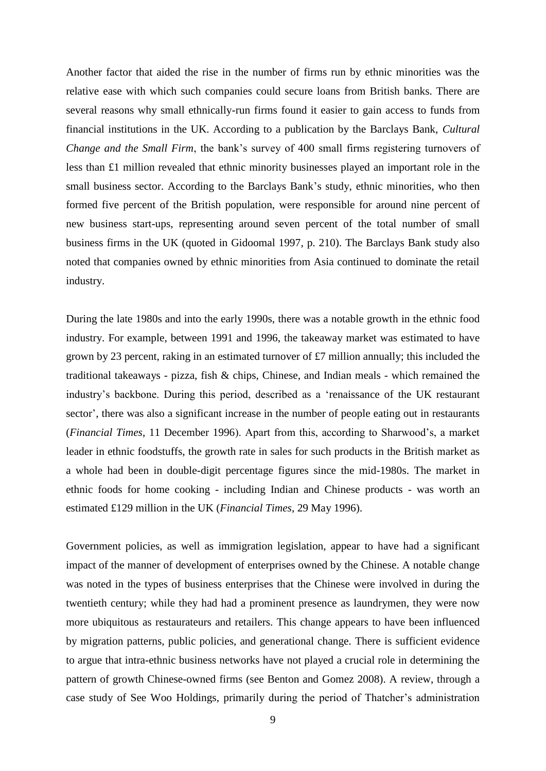Another factor that aided the rise in the number of firms run by ethnic minorities was the relative ease with which such companies could secure loans from British banks. There are several reasons why small ethnically-run firms found it easier to gain access to funds from financial institutions in the UK. According to a publication by the Barclays Bank, *Cultural Change and the Small Firm*, the bank's survey of 400 small firms registering turnovers of less than £1 million revealed that ethnic minority businesses played an important role in the small business sector. According to the Barclays Bank's study, ethnic minorities, who then formed five percent of the British population, were responsible for around nine percent of new business start-ups, representing around seven percent of the total number of small business firms in the UK (quoted in Gidoomal 1997, p. 210). The Barclays Bank study also noted that companies owned by ethnic minorities from Asia continued to dominate the retail industry.

During the late 1980s and into the early 1990s, there was a notable growth in the ethnic food industry. For example, between 1991 and 1996, the takeaway market was estimated to have grown by 23 percent, raking in an estimated turnover of £7 million annually; this included the traditional takeaways - pizza, fish & chips, Chinese, and Indian meals - which remained the industry's backbone. During this period, described as a 'renaissance of the UK restaurant sector', there was also a significant increase in the number of people eating out in restaurants (*Financial Times*, 11 December 1996). Apart from this, according to Sharwood's, a market leader in ethnic foodstuffs, the growth rate in sales for such products in the British market as a whole had been in double-digit percentage figures since the mid-1980s. The market in ethnic foods for home cooking - including Indian and Chinese products - was worth an estimated £129 million in the UK (*Financial Times*, 29 May 1996).

Government policies, as well as immigration legislation, appear to have had a significant impact of the manner of development of enterprises owned by the Chinese. A notable change was noted in the types of business enterprises that the Chinese were involved in during the twentieth century; while they had had a prominent presence as laundrymen, they were now more ubiquitous as restaurateurs and retailers. This change appears to have been influenced by migration patterns, public policies, and generational change. There is sufficient evidence to argue that intra-ethnic business networks have not played a crucial role in determining the pattern of growth Chinese-owned firms (see Benton and Gomez 2008). A review, through a case study of See Woo Holdings, primarily during the period of Thatcher's administration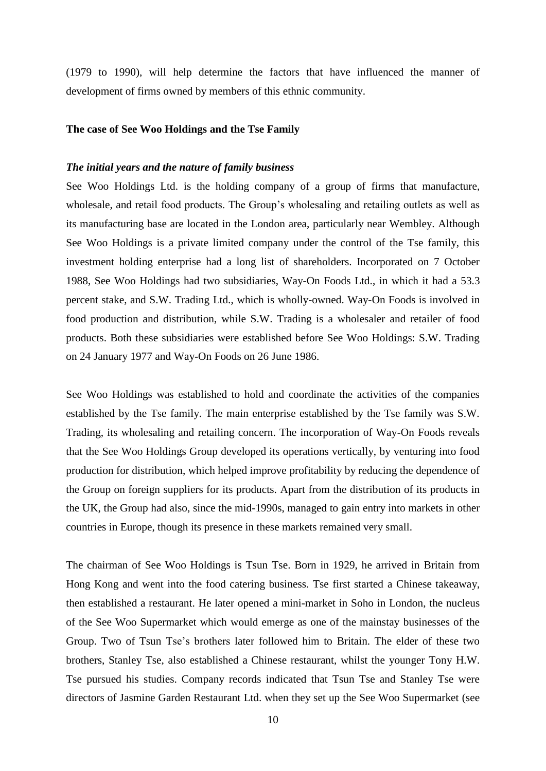(1979 to 1990), will help determine the factors that have influenced the manner of development of firms owned by members of this ethnic community.

## **The case of See Woo Holdings and the Tse Family**

### *The initial years and the nature of family business*

See Woo Holdings Ltd. is the holding company of a group of firms that manufacture, wholesale, and retail food products. The Group's wholesaling and retailing outlets as well as its manufacturing base are located in the London area, particularly near Wembley. Although See Woo Holdings is a private limited company under the control of the Tse family, this investment holding enterprise had a long list of shareholders. Incorporated on 7 October 1988, See Woo Holdings had two subsidiaries, Way-On Foods Ltd., in which it had a 53.3 percent stake, and S.W. Trading Ltd., which is wholly-owned. Way-On Foods is involved in food production and distribution, while S.W. Trading is a wholesaler and retailer of food products. Both these subsidiaries were established before See Woo Holdings: S.W. Trading on 24 January 1977 and Way-On Foods on 26 June 1986.

See Woo Holdings was established to hold and coordinate the activities of the companies established by the Tse family. The main enterprise established by the Tse family was S.W. Trading, its wholesaling and retailing concern. The incorporation of Way-On Foods reveals that the See Woo Holdings Group developed its operations vertically, by venturing into food production for distribution, which helped improve profitability by reducing the dependence of the Group on foreign suppliers for its products. Apart from the distribution of its products in the UK, the Group had also, since the mid-1990s, managed to gain entry into markets in other countries in Europe, though its presence in these markets remained very small.

The chairman of See Woo Holdings is Tsun Tse. Born in 1929, he arrived in Britain from Hong Kong and went into the food catering business. Tse first started a Chinese takeaway, then established a restaurant. He later opened a mini-market in Soho in London, the nucleus of the See Woo Supermarket which would emerge as one of the mainstay businesses of the Group. Two of Tsun Tse's brothers later followed him to Britain. The elder of these two brothers, Stanley Tse, also established a Chinese restaurant, whilst the younger Tony H.W. Tse pursued his studies. Company records indicated that Tsun Tse and Stanley Tse were directors of Jasmine Garden Restaurant Ltd. when they set up the See Woo Supermarket (see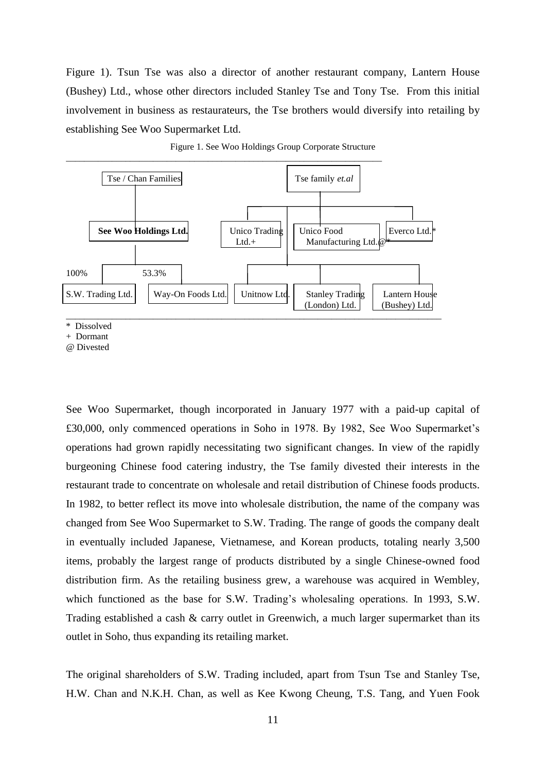Figure 1). Tsun Tse was also a director of another restaurant company, Lantern House (Bushey) Ltd., whose other directors included Stanley Tse and Tony Tse. From this initial involvement in business as restaurateurs, the Tse brothers would diversify into retailing by establishing See Woo Supermarket Ltd.



Figure 1. See Woo Holdings Group Corporate Structure

\* Dissolved

+ Dormant

@ Divested

See Woo Supermarket, though incorporated in January 1977 with a paid-up capital of £30,000, only commenced operations in Soho in 1978. By 1982, See Woo Supermarket's operations had grown rapidly necessitating two significant changes. In view of the rapidly burgeoning Chinese food catering industry, the Tse family divested their interests in the restaurant trade to concentrate on wholesale and retail distribution of Chinese foods products. In 1982, to better reflect its move into wholesale distribution, the name of the company was changed from See Woo Supermarket to S.W. Trading. The range of goods the company dealt in eventually included Japanese, Vietnamese, and Korean products, totaling nearly 3,500 items, probably the largest range of products distributed by a single Chinese-owned food distribution firm. As the retailing business grew, a warehouse was acquired in Wembley, which functioned as the base for S.W. Trading's wholesaling operations. In 1993, S.W. Trading established a cash & carry outlet in Greenwich, a much larger supermarket than its outlet in Soho, thus expanding its retailing market.

The original shareholders of S.W. Trading included, apart from Tsun Tse and Stanley Tse, H.W. Chan and N.K.H. Chan, as well as Kee Kwong Cheung, T.S. Tang, and Yuen Fook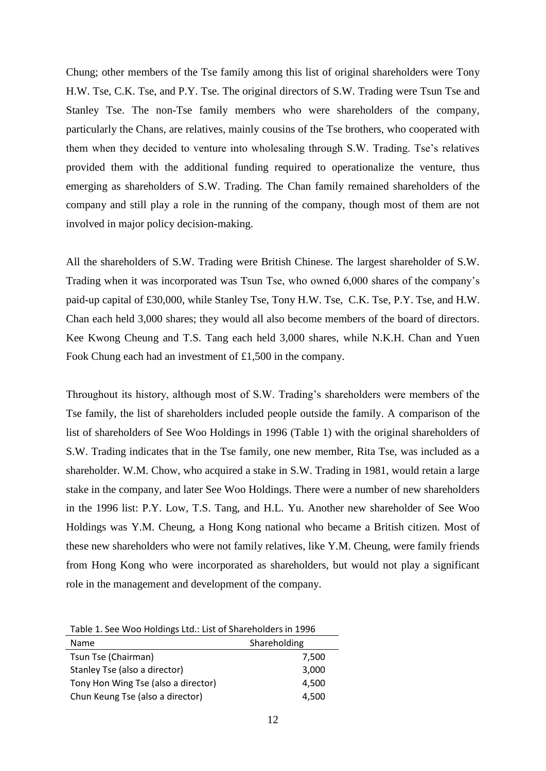Chung; other members of the Tse family among this list of original shareholders were Tony H.W. Tse, C.K. Tse, and P.Y. Tse. The original directors of S.W. Trading were Tsun Tse and Stanley Tse. The non-Tse family members who were shareholders of the company, particularly the Chans, are relatives, mainly cousins of the Tse brothers, who cooperated with them when they decided to venture into wholesaling through S.W. Trading. Tse's relatives provided them with the additional funding required to operationalize the venture, thus emerging as shareholders of S.W. Trading. The Chan family remained shareholders of the company and still play a role in the running of the company, though most of them are not involved in major policy decision-making.

All the shareholders of S.W. Trading were British Chinese. The largest shareholder of S.W. Trading when it was incorporated was Tsun Tse, who owned 6,000 shares of the company's paid-up capital of £30,000, while Stanley Tse, Tony H.W. Tse, C.K. Tse, P.Y. Tse, and H.W. Chan each held 3,000 shares; they would all also become members of the board of directors. Kee Kwong Cheung and T.S. Tang each held 3,000 shares, while N.K.H. Chan and Yuen Fook Chung each had an investment of £1,500 in the company.

Throughout its history, although most of S.W. Trading's shareholders were members of the Tse family, the list of shareholders included people outside the family. A comparison of the list of shareholders of See Woo Holdings in 1996 (Table 1) with the original shareholders of S.W. Trading indicates that in the Tse family, one new member, Rita Tse, was included as a shareholder. W.M. Chow, who acquired a stake in S.W. Trading in 1981, would retain a large stake in the company, and later See Woo Holdings. There were a number of new shareholders in the 1996 list: P.Y. Low, T.S. Tang, and H.L. Yu. Another new shareholder of See Woo Holdings was Y.M. Cheung, a Hong Kong national who became a British citizen. Most of these new shareholders who were not family relatives, like Y.M. Cheung, were family friends from Hong Kong who were incorporated as shareholders, but would not play a significant role in the management and development of the company.

Table 1. See Woo Holdings Ltd.: List of Shareholders in 1996

| <b>Name</b>                         | Shareholding |  |  |
|-------------------------------------|--------------|--|--|
| Tsun Tse (Chairman)                 | 7,500        |  |  |
| Stanley Tse (also a director)       | 3.000        |  |  |
| Tony Hon Wing Tse (also a director) | 4,500        |  |  |
| Chun Keung Tse (also a director)    | 4,500        |  |  |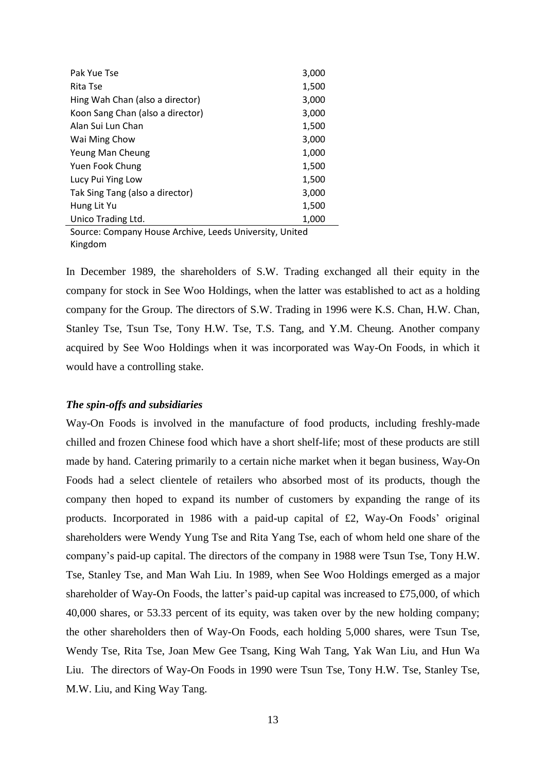| Pak Yue Tse                      | 3,000 |
|----------------------------------|-------|
| Rita Tse                         | 1,500 |
| Hing Wah Chan (also a director)  | 3,000 |
| Koon Sang Chan (also a director) | 3,000 |
| Alan Sui Lun Chan                | 1,500 |
| Wai Ming Chow                    | 3,000 |
| Yeung Man Cheung                 | 1,000 |
| Yuen Fook Chung                  | 1,500 |
| Lucy Pui Ying Low                | 1,500 |
| Tak Sing Tang (also a director)  | 3,000 |
| Hung Lit Yu                      | 1,500 |
| Unico Trading Ltd.               | 1,000 |
|                                  |       |

Source: Company House Archive, Leeds University, United Kingdom

In December 1989, the shareholders of S.W. Trading exchanged all their equity in the company for stock in See Woo Holdings, when the latter was established to act as a holding company for the Group. The directors of S.W. Trading in 1996 were K.S. Chan, H.W. Chan, Stanley Tse, Tsun Tse, Tony H.W. Tse, T.S. Tang, and Y.M. Cheung. Another company acquired by See Woo Holdings when it was incorporated was Way-On Foods, in which it would have a controlling stake.

## *The spin-offs and subsidiaries*

Way-On Foods is involved in the manufacture of food products, including freshly-made chilled and frozen Chinese food which have a short shelf-life; most of these products are still made by hand. Catering primarily to a certain niche market when it began business, Way-On Foods had a select clientele of retailers who absorbed most of its products, though the company then hoped to expand its number of customers by expanding the range of its products. Incorporated in 1986 with a paid-up capital of £2, Way-On Foods' original shareholders were Wendy Yung Tse and Rita Yang Tse, each of whom held one share of the company's paid-up capital. The directors of the company in 1988 were Tsun Tse, Tony H.W. Tse, Stanley Tse, and Man Wah Liu. In 1989, when See Woo Holdings emerged as a major shareholder of Way-On Foods, the latter's paid-up capital was increased to £75,000, of which 40,000 shares, or 53.33 percent of its equity, was taken over by the new holding company; the other shareholders then of Way-On Foods, each holding 5,000 shares, were Tsun Tse, Wendy Tse, Rita Tse, Joan Mew Gee Tsang, King Wah Tang, Yak Wan Liu, and Hun Wa Liu. The directors of Way-On Foods in 1990 were Tsun Tse, Tony H.W. Tse, Stanley Tse, M.W. Liu, and King Way Tang.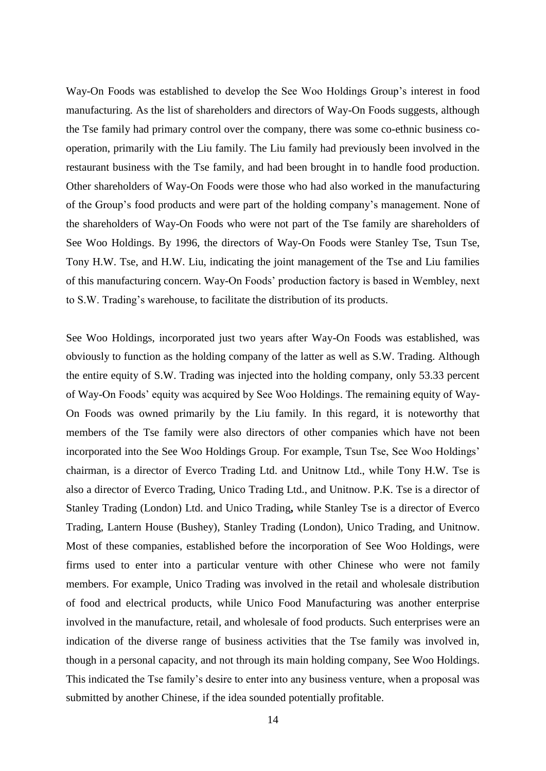Way-On Foods was established to develop the See Woo Holdings Group's interest in food manufacturing. As the list of shareholders and directors of Way-On Foods suggests, although the Tse family had primary control over the company, there was some co-ethnic business cooperation, primarily with the Liu family. The Liu family had previously been involved in the restaurant business with the Tse family, and had been brought in to handle food production. Other shareholders of Way-On Foods were those who had also worked in the manufacturing of the Group's food products and were part of the holding company's management. None of the shareholders of Way-On Foods who were not part of the Tse family are shareholders of See Woo Holdings. By 1996, the directors of Way-On Foods were Stanley Tse, Tsun Tse, Tony H.W. Tse, and H.W. Liu, indicating the joint management of the Tse and Liu families of this manufacturing concern. Way-On Foods' production factory is based in Wembley, next to S.W. Trading's warehouse, to facilitate the distribution of its products.

See Woo Holdings, incorporated just two years after Way-On Foods was established, was obviously to function as the holding company of the latter as well as S.W. Trading. Although the entire equity of S.W. Trading was injected into the holding company, only 53.33 percent of Way-On Foods' equity was acquired by See Woo Holdings. The remaining equity of Way-On Foods was owned primarily by the Liu family. In this regard, it is noteworthy that members of the Tse family were also directors of other companies which have not been incorporated into the See Woo Holdings Group. For example, Tsun Tse, See Woo Holdings' chairman, is a director of Everco Trading Ltd. and Unitnow Ltd., while Tony H.W. Tse is also a director of Everco Trading, Unico Trading Ltd., and Unitnow. P.K. Tse is a director of Stanley Trading (London) Ltd. and Unico Trading**,** while Stanley Tse is a director of Everco Trading, Lantern House (Bushey), Stanley Trading (London), Unico Trading, and Unitnow. Most of these companies, established before the incorporation of See Woo Holdings, were firms used to enter into a particular venture with other Chinese who were not family members. For example, Unico Trading was involved in the retail and wholesale distribution of food and electrical products, while Unico Food Manufacturing was another enterprise involved in the manufacture, retail, and wholesale of food products. Such enterprises were an indication of the diverse range of business activities that the Tse family was involved in, though in a personal capacity, and not through its main holding company, See Woo Holdings. This indicated the Tse family's desire to enter into any business venture, when a proposal was submitted by another Chinese, if the idea sounded potentially profitable.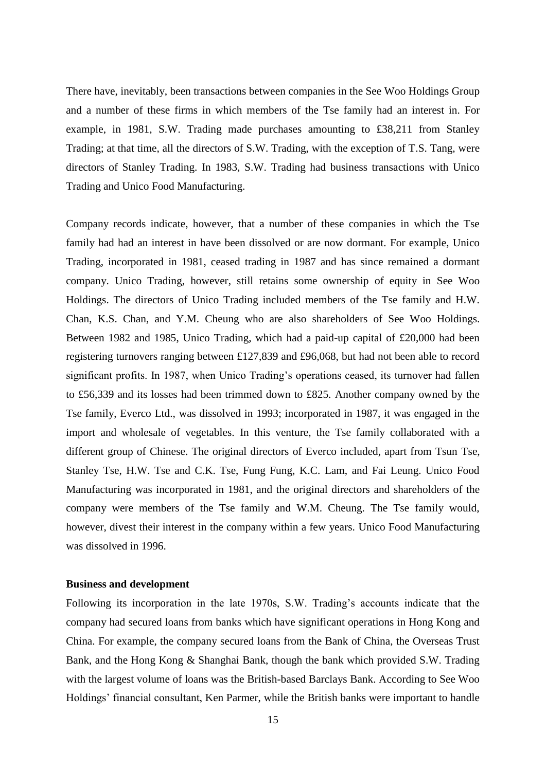There have, inevitably, been transactions between companies in the See Woo Holdings Group and a number of these firms in which members of the Tse family had an interest in. For example, in 1981, S.W. Trading made purchases amounting to £38,211 from Stanley Trading; at that time, all the directors of S.W. Trading, with the exception of T.S. Tang, were directors of Stanley Trading. In 1983, S.W. Trading had business transactions with Unico Trading and Unico Food Manufacturing.

Company records indicate, however, that a number of these companies in which the Tse family had had an interest in have been dissolved or are now dormant. For example, Unico Trading, incorporated in 1981, ceased trading in 1987 and has since remained a dormant company. Unico Trading, however, still retains some ownership of equity in See Woo Holdings. The directors of Unico Trading included members of the Tse family and H.W. Chan, K.S. Chan, and Y.M. Cheung who are also shareholders of See Woo Holdings. Between 1982 and 1985, Unico Trading, which had a paid-up capital of £20,000 had been registering turnovers ranging between £127,839 and £96,068, but had not been able to record significant profits. In 1987, when Unico Trading's operations ceased, its turnover had fallen to £56,339 and its losses had been trimmed down to £825. Another company owned by the Tse family, Everco Ltd., was dissolved in 1993; incorporated in 1987, it was engaged in the import and wholesale of vegetables. In this venture, the Tse family collaborated with a different group of Chinese. The original directors of Everco included, apart from Tsun Tse, Stanley Tse, H.W. Tse and C.K. Tse, Fung Fung, K.C. Lam, and Fai Leung. Unico Food Manufacturing was incorporated in 1981, and the original directors and shareholders of the company were members of the Tse family and W.M. Cheung. The Tse family would, however, divest their interest in the company within a few years. Unico Food Manufacturing was dissolved in 1996.

#### **Business and development**

Following its incorporation in the late 1970s, S.W. Trading's accounts indicate that the company had secured loans from banks which have significant operations in Hong Kong and China. For example, the company secured loans from the Bank of China, the Overseas Trust Bank, and the Hong Kong & Shanghai Bank, though the bank which provided S.W. Trading with the largest volume of loans was the British-based Barclays Bank. According to See Woo Holdings' financial consultant, Ken Parmer, while the British banks were important to handle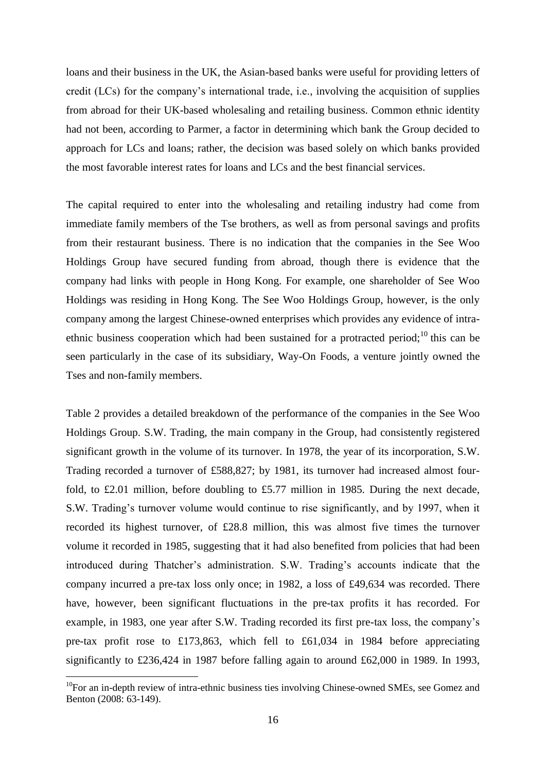loans and their business in the UK, the Asian-based banks were useful for providing letters of credit (LCs) for the company's international trade, i.e., involving the acquisition of supplies from abroad for their UK-based wholesaling and retailing business. Common ethnic identity had not been, according to Parmer, a factor in determining which bank the Group decided to approach for LCs and loans; rather, the decision was based solely on which banks provided the most favorable interest rates for loans and LCs and the best financial services.

The capital required to enter into the wholesaling and retailing industry had come from immediate family members of the Tse brothers, as well as from personal savings and profits from their restaurant business. There is no indication that the companies in the See Woo Holdings Group have secured funding from abroad, though there is evidence that the company had links with people in Hong Kong. For example, one shareholder of See Woo Holdings was residing in Hong Kong. The See Woo Holdings Group, however, is the only company among the largest Chinese-owned enterprises which provides any evidence of intraethnic business cooperation which had been sustained for a protracted period;<sup>10</sup> this can be seen particularly in the case of its subsidiary, Way-On Foods, a venture jointly owned the Tses and non-family members.

Table 2 provides a detailed breakdown of the performance of the companies in the See Woo Holdings Group. S.W. Trading, the main company in the Group, had consistently registered significant growth in the volume of its turnover. In 1978, the year of its incorporation, S.W. Trading recorded a turnover of £588,827; by 1981, its turnover had increased almost fourfold, to £2.01 million, before doubling to £5.77 million in 1985. During the next decade, S.W. Trading's turnover volume would continue to rise significantly, and by 1997, when it recorded its highest turnover, of £28.8 million, this was almost five times the turnover volume it recorded in 1985, suggesting that it had also benefited from policies that had been introduced during Thatcher's administration. S.W. Trading's accounts indicate that the company incurred a pre-tax loss only once; in 1982, a loss of £49,634 was recorded. There have, however, been significant fluctuations in the pre-tax profits it has recorded. For example, in 1983, one year after S.W. Trading recorded its first pre-tax loss, the company's pre-tax profit rose to £173,863, which fell to £61,034 in 1984 before appreciating significantly to £236,424 in 1987 before falling again to around £62,000 in 1989. In 1993,

 $10$ For an in-depth review of intra-ethnic business ties involving Chinese-owned SMEs, see Gomez and Benton (2008: 63-149).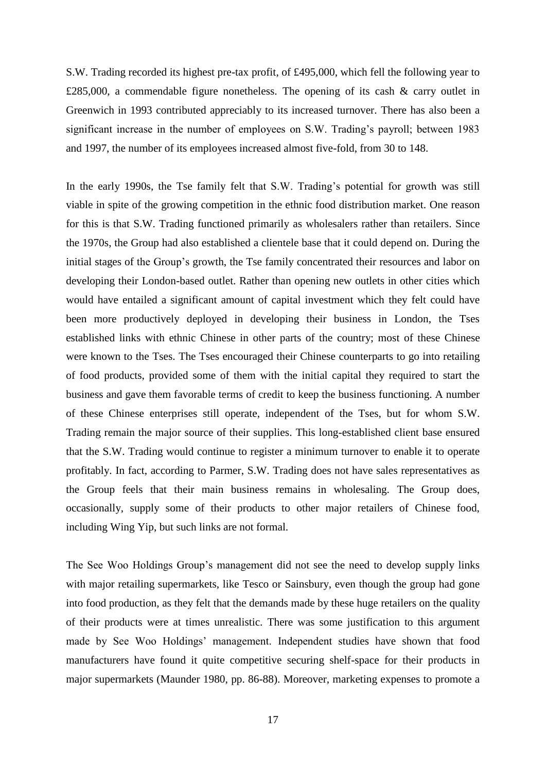S.W. Trading recorded its highest pre-tax profit, of £495,000, which fell the following year to £285,000, a commendable figure nonetheless. The opening of its cash & carry outlet in Greenwich in 1993 contributed appreciably to its increased turnover. There has also been a significant increase in the number of employees on S.W. Trading's payroll; between 1983 and 1997, the number of its employees increased almost five-fold, from 30 to 148.

In the early 1990s, the Tse family felt that S.W. Trading's potential for growth was still viable in spite of the growing competition in the ethnic food distribution market. One reason for this is that S.W. Trading functioned primarily as wholesalers rather than retailers. Since the 1970s, the Group had also established a clientele base that it could depend on. During the initial stages of the Group's growth, the Tse family concentrated their resources and labor on developing their London-based outlet. Rather than opening new outlets in other cities which would have entailed a significant amount of capital investment which they felt could have been more productively deployed in developing their business in London, the Tses established links with ethnic Chinese in other parts of the country; most of these Chinese were known to the Tses. The Tses encouraged their Chinese counterparts to go into retailing of food products, provided some of them with the initial capital they required to start the business and gave them favorable terms of credit to keep the business functioning. A number of these Chinese enterprises still operate, independent of the Tses, but for whom S.W. Trading remain the major source of their supplies. This long-established client base ensured that the S.W. Trading would continue to register a minimum turnover to enable it to operate profitably. In fact, according to Parmer, S.W. Trading does not have sales representatives as the Group feels that their main business remains in wholesaling. The Group does, occasionally, supply some of their products to other major retailers of Chinese food, including Wing Yip, but such links are not formal.

The See Woo Holdings Group's management did not see the need to develop supply links with major retailing supermarkets, like Tesco or Sainsbury, even though the group had gone into food production, as they felt that the demands made by these huge retailers on the quality of their products were at times unrealistic. There was some justification to this argument made by See Woo Holdings' management. Independent studies have shown that food manufacturers have found it quite competitive securing shelf-space for their products in major supermarkets (Maunder 1980, pp. 86-88). Moreover, marketing expenses to promote a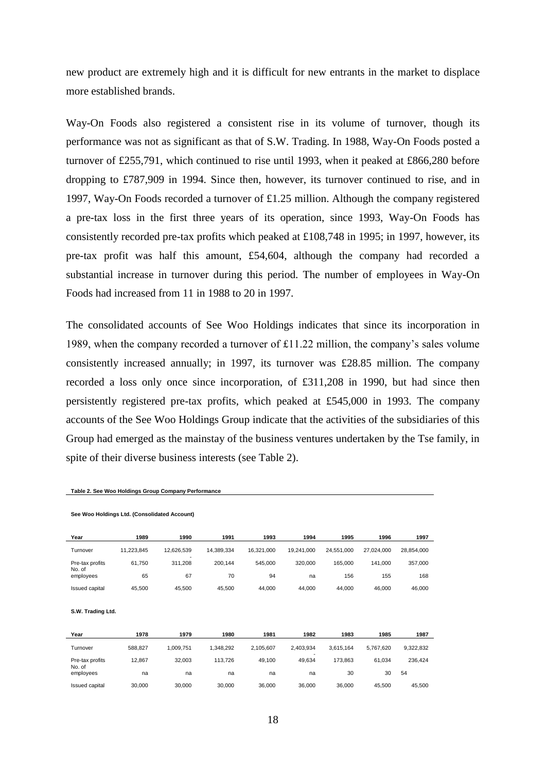new product are extremely high and it is difficult for new entrants in the market to displace more established brands.

Way-On Foods also registered a consistent rise in its volume of turnover, though its performance was not as significant as that of S.W. Trading. In 1988, Way-On Foods posted a turnover of £255,791, which continued to rise until 1993, when it peaked at £866,280 before dropping to £787,909 in 1994. Since then, however, its turnover continued to rise, and in 1997, Way-On Foods recorded a turnover of £1.25 million. Although the company registered a pre-tax loss in the first three years of its operation, since 1993, Way-On Foods has consistently recorded pre-tax profits which peaked at £108,748 in 1995; in 1997, however, its pre-tax profit was half this amount, £54,604, although the company had recorded a substantial increase in turnover during this period. The number of employees in Way-On Foods had increased from 11 in 1988 to 20 in 1997.

The consolidated accounts of See Woo Holdings indicates that since its incorporation in 1989, when the company recorded a turnover of £11.22 million, the company's sales volume consistently increased annually; in 1997, its turnover was £28.85 million. The company recorded a loss only once since incorporation, of £311,208 in 1990, but had since then persistently registered pre-tax profits, which peaked at £545,000 in 1993. The company accounts of the See Woo Holdings Group indicate that the activities of the subsidiaries of this Group had emerged as the mainstay of the business ventures undertaken by the Tse family, in spite of their diverse business interests (see Table 2).

| Year                                                                                      | 1989       | 1990       | 1991       | 1993       | 1994       | 1995       | 1996       | 1997       |  |
|-------------------------------------------------------------------------------------------|------------|------------|------------|------------|------------|------------|------------|------------|--|
| Turnover                                                                                  | 11,223,845 | 12,626,539 | 14,389,334 | 16,321,000 | 19,241,000 | 24,551,000 | 27,024,000 | 28,854,000 |  |
| Pre-tax profits<br>No. of                                                                 | 61,750     | 311,208    | 200,144    | 545,000    | 320,000    | 165,000    | 141,000    | 357,000    |  |
| employees                                                                                 | 65         | 67         | 70         | 94         | na         | 156        | 155        | 168        |  |
| Issued capital                                                                            | 45,500     | 45,500     | 45,500     | 44,000     | 44,000     | 44,000     | 46,000     | 46,000     |  |
| S.W. Trading Ltd.<br>1978<br>1979<br>1980<br>1981<br>1982<br>1983<br>1985<br>Year<br>1987 |            |            |            |            |            |            |            |            |  |
|                                                                                           |            |            |            |            |            |            |            |            |  |
| Turnover                                                                                  | 588,827    | 1,009,751  | 1,348,292  | 2,105,607  | 2,403,934  | 3,615,164  | 5,767,620  | 9,322,832  |  |
| Pre-tax profits<br>No. of                                                                 | 12,867     | 32,003     | 113,726    | 49,100     | 49,634     | 173,863    | 61,034     | 236,424    |  |
| employees                                                                                 | na         | na         | na         | na         | na         | 30         | 30         | 54         |  |
| Issued capital                                                                            | 30,000     | 30,000     | 30,000     | 36,000     | 36,000     | 36,000     | 45,500     | 45,500     |  |

**See Woo Holdings Ltd. (Consolidated Account)**

**Table 2. See Woo Holdings Group Company Performance**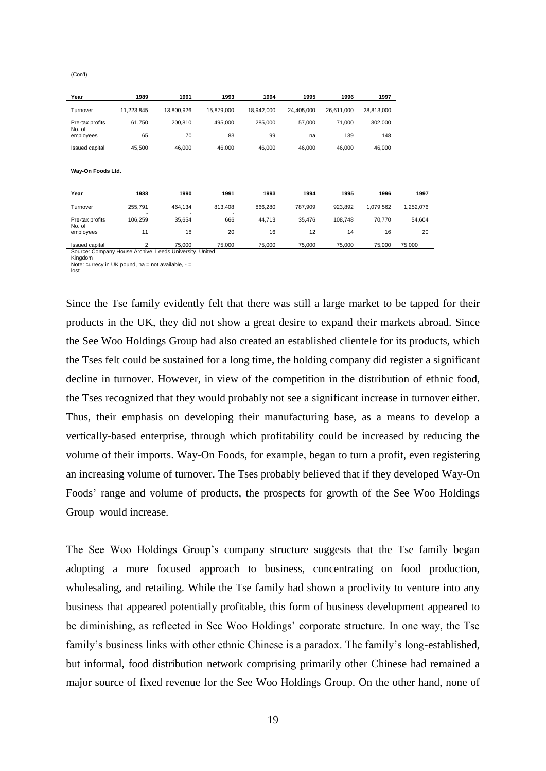(Con't)

| Year                      | 1989       | 1991       | 1993       | 1994       | 1995       | 1996       | 1997       |           |
|---------------------------|------------|------------|------------|------------|------------|------------|------------|-----------|
| Turnover                  | 11,223,845 | 13,800,926 | 15,879,000 | 18,942,000 | 24,405,000 | 26,611,000 | 28,813,000 |           |
| Pre-tax profits<br>No. of | 61,750     | 200,810    | 495,000    | 285,000    | 57,000     | 71,000     | 302,000    |           |
| employees                 | 65         | 70         | 83         | 99         | na         | 139        | 148        |           |
| Issued capital            | 45,500     | 46,000     | 46,000     | 46,000     | 46,000     | 46,000     | 46,000     |           |
| Way-On Foods Ltd.         |            |            |            |            |            |            |            |           |
| Year                      | 1988       | 1990       | 1991       | 1993       | 1994       | 1995       | 1996       | 1997      |
|                           |            |            |            |            |            |            |            |           |
| Turnover                  | 255,791    | 464,134    | 813,408    | 866,280    | 787,909    | 923,892    | 1,079,562  | 1,252,076 |
| Pre-tax profits           | 106,259    | 35,654     | 666        | 44,713     | 35,476     | 108,748    | 70,770     | 54,604    |
| No. of<br>employees       | 11         | 18         | 20         | 16         | 12         | 14         | 16         | 20        |
| Issued capital            | 2          | 75,000     | 75,000     | 75,000     | 75,000     | 75,000     | 75,000     | 75,000    |

Source: Company House Archive, Leeds University, United

Kingdom

Note: currecy in UK pound, na = not available, - = lost

Since the Tse family evidently felt that there was still a large market to be tapped for their products in the UK, they did not show a great desire to expand their markets abroad. Since the See Woo Holdings Group had also created an established clientele for its products, which the Tses felt could be sustained for a long time, the holding company did register a significant decline in turnover. However, in view of the competition in the distribution of ethnic food, the Tses recognized that they would probably not see a significant increase in turnover either. Thus, their emphasis on developing their manufacturing base, as a means to develop a vertically-based enterprise, through which profitability could be increased by reducing the volume of their imports. Way-On Foods, for example, began to turn a profit, even registering an increasing volume of turnover. The Tses probably believed that if they developed Way-On Foods' range and volume of products, the prospects for growth of the See Woo Holdings Group would increase.

The See Woo Holdings Group's company structure suggests that the Tse family began adopting a more focused approach to business, concentrating on food production, wholesaling, and retailing. While the Tse family had shown a proclivity to venture into any business that appeared potentially profitable, this form of business development appeared to be diminishing, as reflected in See Woo Holdings' corporate structure. In one way, the Tse family's business links with other ethnic Chinese is a paradox. The family's long-established, but informal, food distribution network comprising primarily other Chinese had remained a major source of fixed revenue for the See Woo Holdings Group. On the other hand, none of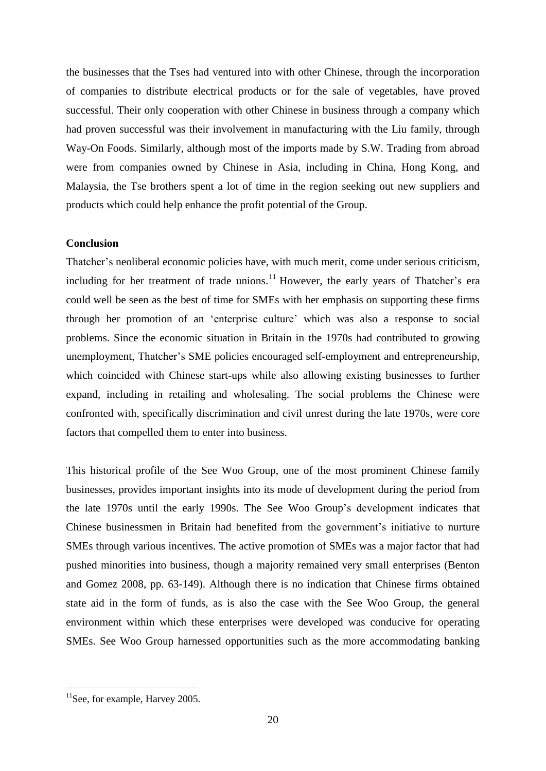the businesses that the Tses had ventured into with other Chinese, through the incorporation of companies to distribute electrical products or for the sale of vegetables, have proved successful. Their only cooperation with other Chinese in business through a company which had proven successful was their involvement in manufacturing with the Liu family, through Way-On Foods. Similarly, although most of the imports made by S.W. Trading from abroad were from companies owned by Chinese in Asia, including in China, Hong Kong, and Malaysia, the Tse brothers spent a lot of time in the region seeking out new suppliers and products which could help enhance the profit potential of the Group.

## **Conclusion**

Thatcher's neoliberal economic policies have, with much merit, come under serious criticism, including for her treatment of trade unions.<sup>11</sup> However, the early years of Thatcher's era could well be seen as the best of time for SMEs with her emphasis on supporting these firms through her promotion of an 'enterprise culture' which was also a response to social problems. Since the economic situation in Britain in the 1970s had contributed to growing unemployment, Thatcher's SME policies encouraged self-employment and entrepreneurship, which coincided with Chinese start-ups while also allowing existing businesses to further expand, including in retailing and wholesaling. The social problems the Chinese were confronted with, specifically discrimination and civil unrest during the late 1970s, were core factors that compelled them to enter into business.

This historical profile of the See Woo Group, one of the most prominent Chinese family businesses, provides important insights into its mode of development during the period from the late 1970s until the early 1990s. The See Woo Group's development indicates that Chinese businessmen in Britain had benefited from the government's initiative to nurture SMEs through various incentives. The active promotion of SMEs was a major factor that had pushed minorities into business, though a majority remained very small enterprises (Benton and Gomez 2008, pp. 63-149). Although there is no indication that Chinese firms obtained state aid in the form of funds, as is also the case with the See Woo Group, the general environment within which these enterprises were developed was conducive for operating SMEs. See Woo Group harnessed opportunities such as the more accommodating banking

 $11$ See, for example, Harvey 2005.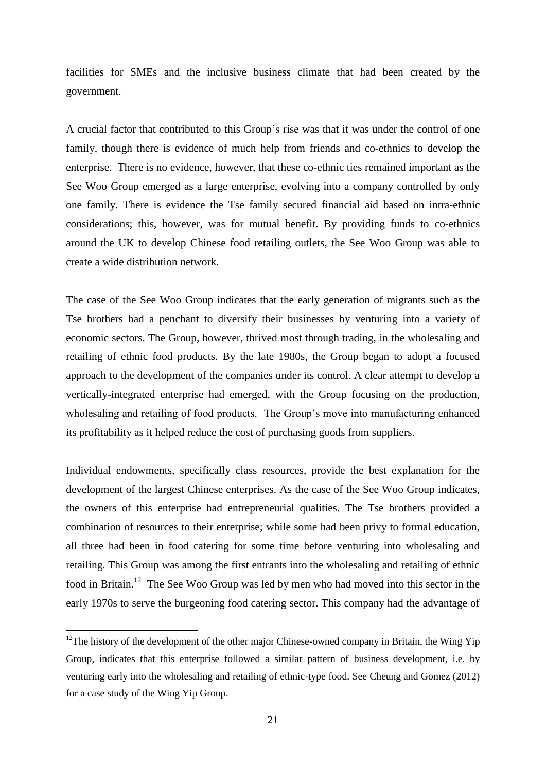facilities for SMEs and the inclusive business climate that had been created by the government.

A crucial factor that contributed to this Group's rise was that it was under the control of one family, though there is evidence of much help from friends and co-ethnics to develop the enterprise. There is no evidence, however, that these co-ethnic ties remained important as the See Woo Group emerged as a large enterprise, evolving into a company controlled by only one family. There is evidence the Tse family secured financial aid based on intra-ethnic considerations; this, however, was for mutual benefit. By providing funds to co-ethnics around the UK to develop Chinese food retailing outlets, the See Woo Group was able to create a wide distribution network.

The case of the See Woo Group indicates that the early generation of migrants such as the Tse brothers had a penchant to diversify their businesses by venturing into a variety of economic sectors. The Group, however, thrived most through trading, in the wholesaling and retailing of ethnic food products. By the late 1980s, the Group began to adopt a focused approach to the development of the companies under its control. A clear attempt to develop a vertically-integrated enterprise had emerged, with the Group focusing on the production, wholesaling and retailing of food products. The Group's move into manufacturing enhanced its profitability as it helped reduce the cost of purchasing goods from suppliers.

Individual endowments, specifically class resources, provide the best explanation for the development of the largest Chinese enterprises. As the case of the See Woo Group indicates, the owners of this enterprise had entrepreneurial qualities. The Tse brothers provided a combination of resources to their enterprise; while some had been privy to formal education, all three had been in food catering for some time before venturing into wholesaling and retailing. This Group was among the first entrants into the wholesaling and retailing of ethnic food in Britain.<sup>12</sup> The See Woo Group was led by men who had moved into this sector in the early 1970s to serve the burgeoning food catering sector. This company had the advantage of

 $12$ The history of the development of the other major Chinese-owned company in Britain, the Wing Yip Group, indicates that this enterprise followed a similar pattern of business development, i.e. by venturing early into the wholesaling and retailing of ethnic-type food. See Cheung and Gomez (2012) for a case study of the Wing Yip Group.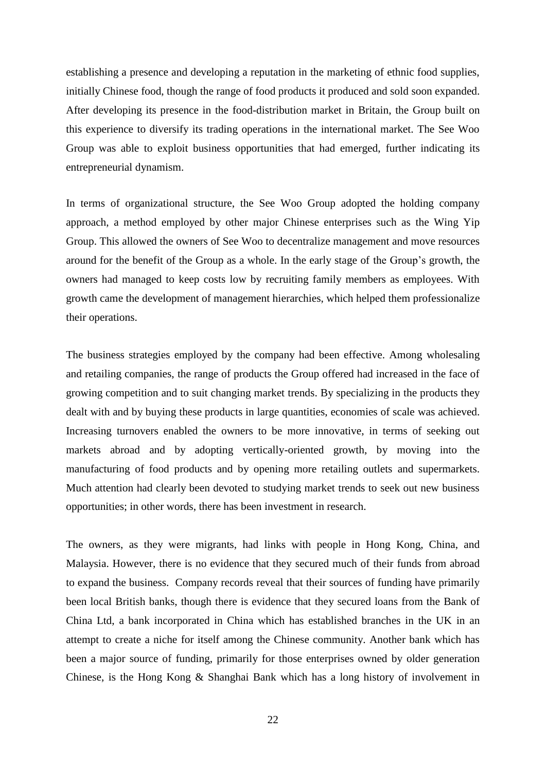establishing a presence and developing a reputation in the marketing of ethnic food supplies, initially Chinese food, though the range of food products it produced and sold soon expanded. After developing its presence in the food-distribution market in Britain, the Group built on this experience to diversify its trading operations in the international market. The See Woo Group was able to exploit business opportunities that had emerged, further indicating its entrepreneurial dynamism.

In terms of organizational structure, the See Woo Group adopted the holding company approach, a method employed by other major Chinese enterprises such as the Wing Yip Group. This allowed the owners of See Woo to decentralize management and move resources around for the benefit of the Group as a whole. In the early stage of the Group's growth, the owners had managed to keep costs low by recruiting family members as employees. With growth came the development of management hierarchies, which helped them professionalize their operations.

The business strategies employed by the company had been effective. Among wholesaling and retailing companies, the range of products the Group offered had increased in the face of growing competition and to suit changing market trends. By specializing in the products they dealt with and by buying these products in large quantities, economies of scale was achieved. Increasing turnovers enabled the owners to be more innovative, in terms of seeking out markets abroad and by adopting vertically-oriented growth, by moving into the manufacturing of food products and by opening more retailing outlets and supermarkets. Much attention had clearly been devoted to studying market trends to seek out new business opportunities; in other words, there has been investment in research.

The owners, as they were migrants, had links with people in Hong Kong, China, and Malaysia. However, there is no evidence that they secured much of their funds from abroad to expand the business. Company records reveal that their sources of funding have primarily been local British banks, though there is evidence that they secured loans from the Bank of China Ltd, a bank incorporated in China which has established branches in the UK in an attempt to create a niche for itself among the Chinese community. Another bank which has been a major source of funding, primarily for those enterprises owned by older generation Chinese, is the Hong Kong & Shanghai Bank which has a long history of involvement in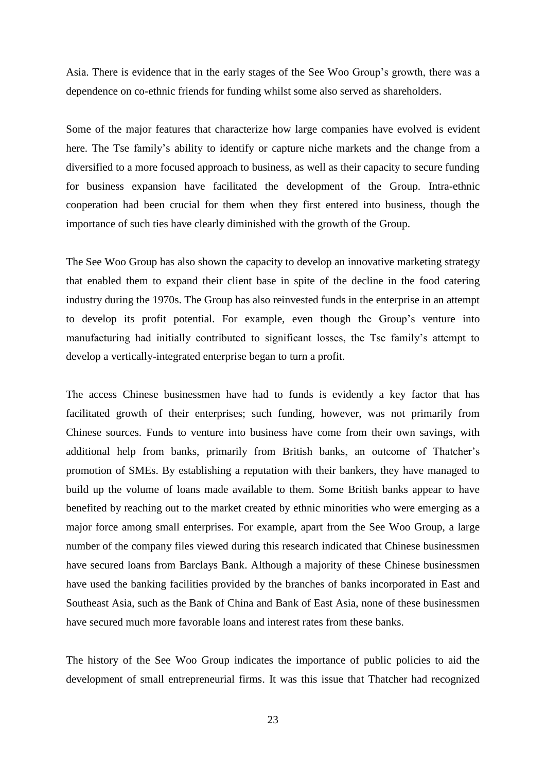Asia. There is evidence that in the early stages of the See Woo Group's growth, there was a dependence on co-ethnic friends for funding whilst some also served as shareholders.

Some of the major features that characterize how large companies have evolved is evident here. The Tse family's ability to identify or capture niche markets and the change from a diversified to a more focused approach to business, as well as their capacity to secure funding for business expansion have facilitated the development of the Group. Intra-ethnic cooperation had been crucial for them when they first entered into business, though the importance of such ties have clearly diminished with the growth of the Group.

The See Woo Group has also shown the capacity to develop an innovative marketing strategy that enabled them to expand their client base in spite of the decline in the food catering industry during the 1970s. The Group has also reinvested funds in the enterprise in an attempt to develop its profit potential. For example, even though the Group's venture into manufacturing had initially contributed to significant losses, the Tse family's attempt to develop a vertically-integrated enterprise began to turn a profit.

The access Chinese businessmen have had to funds is evidently a key factor that has facilitated growth of their enterprises; such funding, however, was not primarily from Chinese sources. Funds to venture into business have come from their own savings, with additional help from banks, primarily from British banks, an outcome of Thatcher's promotion of SMEs. By establishing a reputation with their bankers, they have managed to build up the volume of loans made available to them. Some British banks appear to have benefited by reaching out to the market created by ethnic minorities who were emerging as a major force among small enterprises. For example, apart from the See Woo Group, a large number of the company files viewed during this research indicated that Chinese businessmen have secured loans from Barclays Bank. Although a majority of these Chinese businessmen have used the banking facilities provided by the branches of banks incorporated in East and Southeast Asia, such as the Bank of China and Bank of East Asia, none of these businessmen have secured much more favorable loans and interest rates from these banks.

The history of the See Woo Group indicates the importance of public policies to aid the development of small entrepreneurial firms. It was this issue that Thatcher had recognized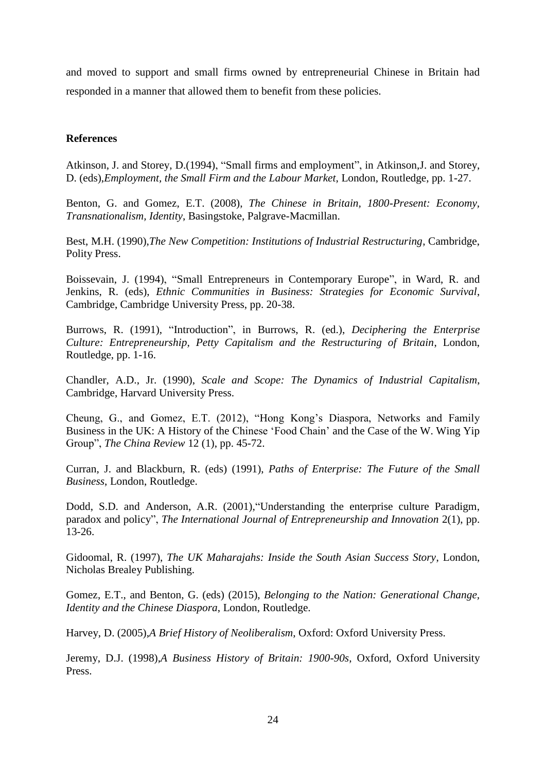and moved to support and small firms owned by entrepreneurial Chinese in Britain had responded in a manner that allowed them to benefit from these policies.

## **References**

Atkinson, J. and Storey, D.(1994), "Small firms and employment", in Atkinson,J. and Storey, D. (eds),*Employment, the Small Firm and the Labour Market*, London, Routledge, pp. 1-27.

Benton, G. and Gomez, E.T. (2008), *The Chinese in Britain, 1800-Present: Economy, Transnationalism, Identity*, Basingstoke, Palgrave-Macmillan.

Best, M.H. (1990),*The New Competition: Institutions of Industrial Restructuring*, Cambridge, Polity Press.

Boissevain, J. (1994), "Small Entrepreneurs in Contemporary Europe", in Ward, R. and Jenkins, R. (eds), *Ethnic Communities in Business: Strategies for Economic Survival*, Cambridge, Cambridge University Press, pp. 20-38.

Burrows, R. (1991), "Introduction", in Burrows, R. (ed.), *Deciphering the Enterprise Culture: Entrepreneurship, Petty Capitalism and the Restructuring of Britain*, London, Routledge, pp. 1-16.

Chandler, A.D., Jr. (1990), *Scale and Scope: The Dynamics of Industrial Capitalism*, Cambridge, Harvard University Press.

Cheung, G., and Gomez, E.T. (2012), "Hong Kong's Diaspora, Networks and Family Business in the UK: A History of the Chinese 'Food Chain' and the Case of the W. Wing Yip Group", *The China Review* 12 (1), pp. 45-72.

Curran, J. and Blackburn, R. (eds) (1991), *Paths of Enterprise: The Future of the Small Business*, London, Routledge.

Dodd, S.D. and Anderson, A.R. (2001),"Understanding the enterprise culture Paradigm, paradox and policy", *The International Journal of Entrepreneurship and Innovation* 2(1), pp. 13-26.

Gidoomal, R. (1997), *The UK Maharajahs: Inside the South Asian Success Story*, London, Nicholas Brealey Publishing.

Gomez, E.T., and Benton, G. (eds) (2015), *Belonging to the Nation: Generational Change, Identity and the Chinese Diaspora*, London, Routledge.

Harvey, D. (2005),*A Brief History of Neoliberalism*, Oxford: Oxford University Press.

Jeremy, D.J. (1998),*A Business History of Britain: 1900-90s*, Oxford, Oxford University Press.